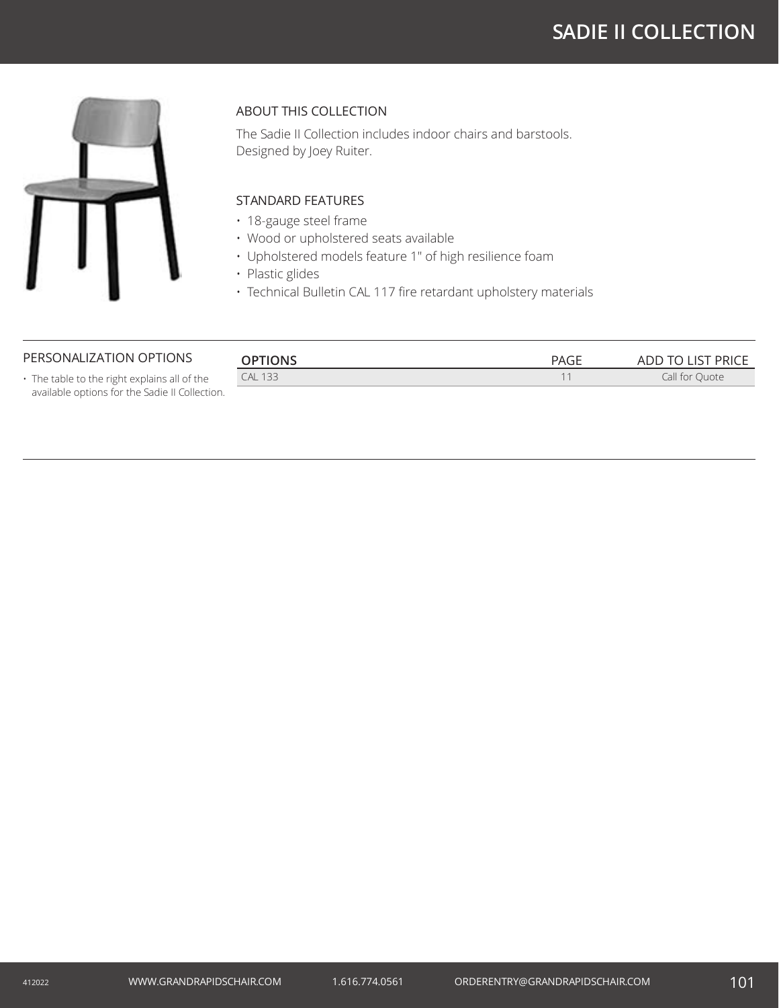# **SADIE II COLLECTION**



## ABOUT THIS COLLECTION

The Sadie II Collection includes indoor chairs and barstools. Designed by Joey Ruiter.

## STANDARD FEATURES

- 18-gauge steel frame
- Wood or upholstered seats available
- Upholstered models feature 1" of high resilience foam
- Plastic glides
- Technical Bulletin CAL 117 fire retardant upholstery materials

#### PERSONALIZATION OPTIONS

| <b>OPTIONS</b> | DAC <sub>1</sub><br>'AGE | ADD TO LIST PRICE   |
|----------------|--------------------------|---------------------|
| <b>CAL 133</b> |                          | Call for (<br>Ouote |
|                |                          |                     |

• The table to the right explains all of the available options for the Sadie II Collection.